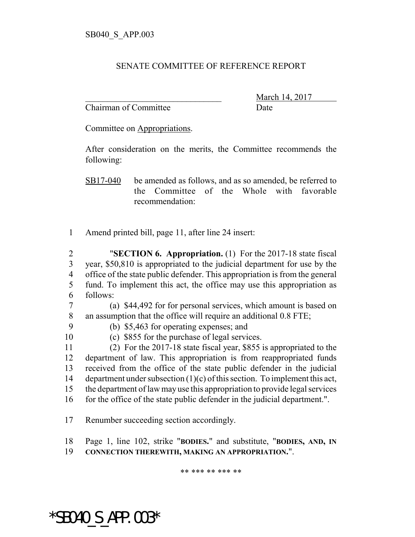## SENATE COMMITTEE OF REFERENCE REPORT

Chairman of Committee Date

March 14, 2017

Committee on Appropriations.

After consideration on the merits, the Committee recommends the following:

SB17-040 be amended as follows, and as so amended, be referred to the Committee of the Whole with favorable recommendation:

1 Amend printed bill, page 11, after line 24 insert:

 "**SECTION 6. Appropriation.** (1) For the 2017-18 state fiscal year, \$50,810 is appropriated to the judicial department for use by the office of the state public defender. This appropriation is from the general fund. To implement this act, the office may use this appropriation as 6 follows:

7 (a) \$44,492 for for personal services, which amount is based on 8 an assumption that the office will require an additional 0.8 FTE;

- 
- 9 (b) \$5,463 for operating expenses; and
- 

10 (c) \$855 for the purchase of legal services.

 (2) For the 2017-18 state fiscal year, \$855 is appropriated to the department of law. This appropriation is from reappropriated funds received from the office of the state public defender in the judicial department under subsection (1)(c) of this section. To implement this act, the department of law may use this appropriation to provide legal services 16 for the office of the state public defender in the judicial department.".

17 Renumber succeeding section accordingly.

18 Page 1, line 102, strike "**BODIES.**" and substitute, "**BODIES, AND, IN**

19 **CONNECTION THEREWITH, MAKING AN APPROPRIATION.**".

\*\* \*\*\* \*\* \*\*\* \*\*

\*SB040\_S\_APP.003\*